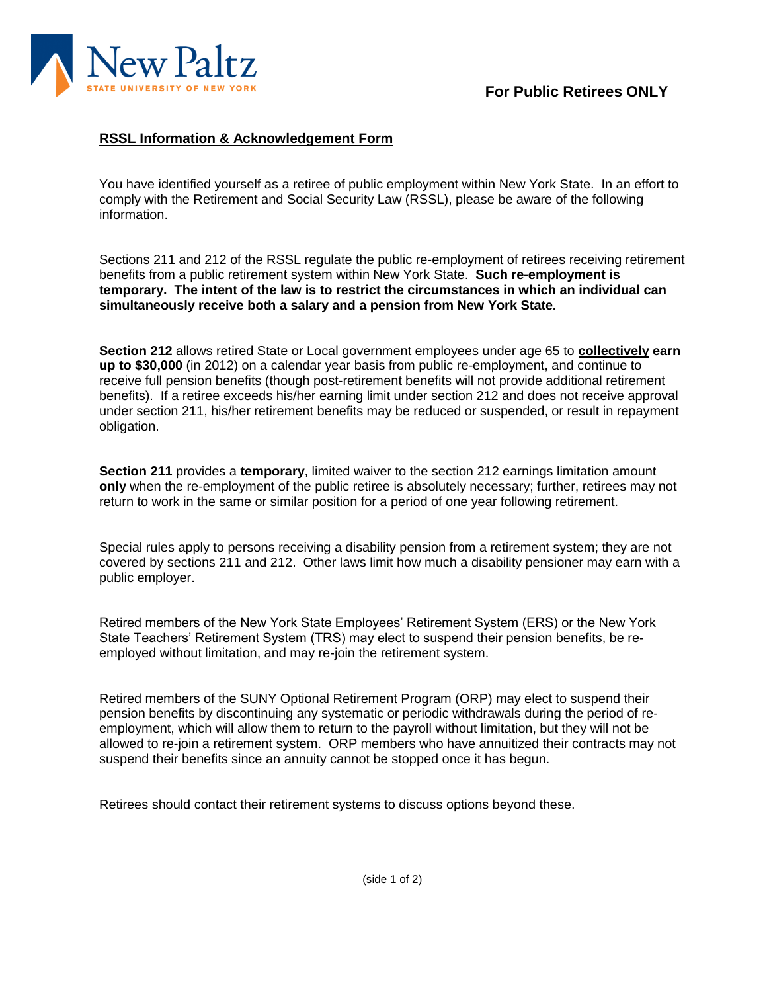

## **RSSL Information & Acknowledgement Form**

You have identified yourself as a retiree of public employment within New York State. In an effort to comply with the Retirement and Social Security Law (RSSL), please be aware of the following information.

Sections 211 and 212 of the RSSL regulate the public re-employment of retirees receiving retirement benefits from a public retirement system within New York State. **Such re-employment is temporary. The intent of the law is to restrict the circumstances in which an individual can simultaneously receive both a salary and a pension from New York State.**

**Section 212** allows retired State or Local government employees under age 65 to **collectively earn up to \$30,000** (in 2012) on a calendar year basis from public re-employment, and continue to receive full pension benefits (though post-retirement benefits will not provide additional retirement benefits). If a retiree exceeds his/her earning limit under section 212 and does not receive approval under section 211, his/her retirement benefits may be reduced or suspended, or result in repayment obligation.

**Section 211** provides a **temporary**, limited waiver to the section 212 earnings limitation amount **only** when the re-employment of the public retiree is absolutely necessary; further, retirees may not return to work in the same or similar position for a period of one year following retirement.

Special rules apply to persons receiving a disability pension from a retirement system; they are not covered by sections 211 and 212. Other laws limit how much a disability pensioner may earn with a public employer.

Retired members of the New York State Employees' Retirement System (ERS) or the New York State Teachers' Retirement System (TRS) may elect to suspend their pension benefits, be reemployed without limitation, and may re-join the retirement system.

Retired members of the SUNY Optional Retirement Program (ORP) may elect to suspend their pension benefits by discontinuing any systematic or periodic withdrawals during the period of reemployment, which will allow them to return to the payroll without limitation, but they will not be allowed to re-join a retirement system. ORP members who have annuitized their contracts may not suspend their benefits since an annuity cannot be stopped once it has begun.

Retirees should contact their retirement systems to discuss options beyond these.